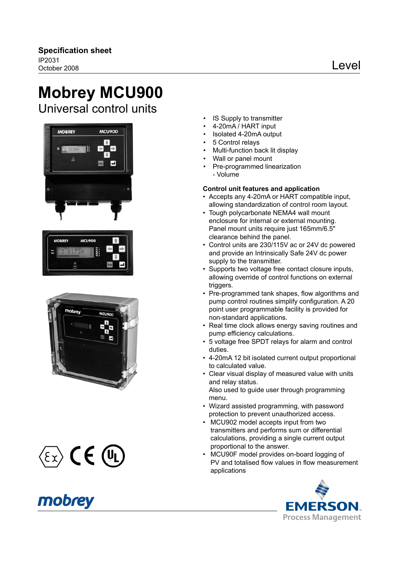# **Mobrey MCU900**

Universal control units



| <b>MOBREY</b> | <b>MCU900</b> |     |
|---------------|---------------|-----|
| IN1<br>Ħ      |               |     |
|               |               | Esc |







- IS Supply to transmitter
- 4-20mA / HART input
- Isolated 4-20mA output
- 5 Control relays
- Multi-function back lit display
- Wall or panel mount
- Pre-programmed linearization - Volume

### **Control unit features and application**

- • Accepts any 4-20mA or HART compatible input, allowing standardization of control room layout.
- Tough polycarbonate NEMA4 wall mount enclosure for internal or external mounting. Panel mount units require just 165mm/6.5" clearance behind the panel.
- Control units are 230/115V ac or 24V dc powered and provide an Intrinsically Safe 24V dc power supply to the transmitter.
- Supports two voltage free contact closure inputs, allowing override of control functions on external triggers.
- Pre-programmed tank shapes, flow algorithms and pump control routines simplify confguration. A 20 point user programmable facility is provided for non-standard applications.
- Real time clock allows energy saving routines and pump efficiency calculations.
- • 5 voltage free SPDT relays for alarm and control duties.
- • 4-20mA 12 bit isolated current output proportional to calculated value.
- Clear visual display of measured value with units and relay status. Also used to guide user through programming menu.
- Wizard assisted programming, with password protection to prevent unauthorized access.
- MCU902 model accepts input from two transmitters and performs sum or differential calculations, providing a single current output proportional to the answer.
- • MCU90F model provides on-board logging of PV and totalised flow values in flow measurement applications

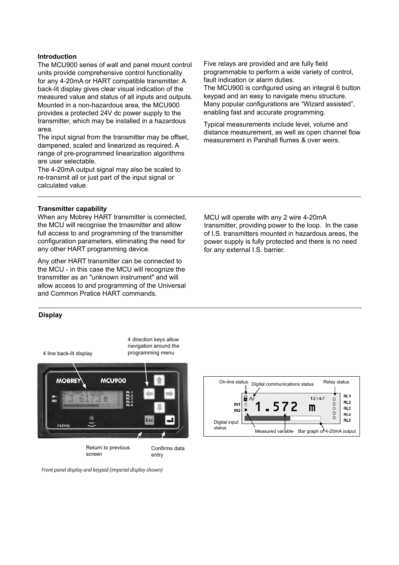#### **Introduction**

The MCU900 series of wall and panel mount control units provide comprehensive control functionality for any 4-20mA or HART compatible transmitter. A back-lit display gives clear visual indication of the measured value and status of all inputs and outputs. Mounted in a non-hazardous area, the MCU900 provides a protected 24V dc power supply to the transmitter, which may be installed in a hazardous area.

The input signal from the transmitter may be offset. dampened, scaled and linearized as required. A range of pre-programmed linearization algorithms are user selectable.

The 4-20mA output signal may also be scaled to re-transmit all or just part of the input signal or calculated value.

Five relays are provided and are fully feld programmable to perform a wide variety of control, fault indication or alarm duties. The MCU900 is confgured using an integral 6 button keypad and an easy to navigate menu structure. Many popular configurations are "Wizard assisted", enabling fast and accurate programming.

Typical measurements include level, volume and distance measurement, as well as open channel flow measurement in Parshall fumes & over weirs.

#### **Transmitter capability**

When any Mobrey HART transmitter is connected, the MCU will recognise the trnasmitter and allow full access to and programming of the transmitter configuration parameters, eliminating the need for any other HART programming device.

Any other HART transmitter can be connected to the MCU - in this case the MCU will recognize the transmitter as an "unknown instrument" and will allow access to and programming of the Universal and Common Pratice HART commands.

#### **Display**

4 line back-lit display



Return to previous screen

Confirms data entry

4 direction keys allow navigation around the programming menu

Front panel display and keypad (imperial display shown)

MCU will operate with any 2 wire 4-20mA transmitter, providing power to the loop. In the case of I.S. transmitters mounted in hazardous areas, the power supply is fully protected and there is no need for any external I.S. barrier.

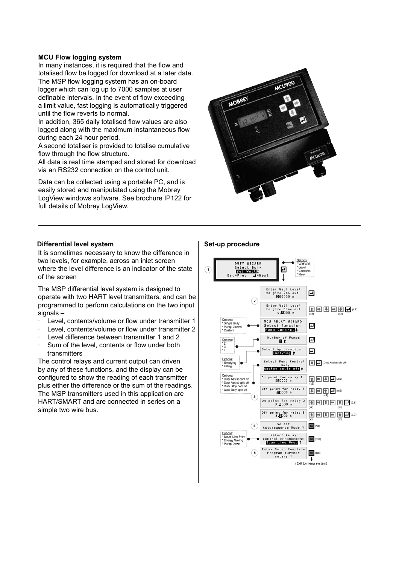#### **MCU Flow logging system**

In many instances, it is required that the flow and totalised flow be logged for download at a later date. The MSP flow logging system has an on-board logger which can log up to 7000 samples at user definable intervals. In the event of flow exceeding a limit value, fast logging is automatically triggered until the flow reverts to normal.

In addition, 365 daily totalised fow values are also logged along with the maximum instantaneous flow during each 24 hour period.

A second totaliser is provided to totalise cumulative flow through the flow structure.

All data is real time stamped and stored for download via an RS232 connection on the control unit.

Data can be collected using a portable PC, and is easily stored and manipulated using the Mobrey LogView windows software. See brochure IP122 for full details of Mobrey LogView.



#### **Differential level system Set-up procedure**

It is sometimes necessary to know the difference in two levels, for example, across an inlet screen where the level difference is an indicator of the state of the screen

The MSP differential level system is designed to operate with two HART level transmitters, and can be programmed to perform calculations on the two input signals -

- Level, contents/volume or flow under transmitter 1
- Level, contents/volume or flow under transmitter 2
- Level difference between transmitter 1 and 2
- Sum of the level, contents or flow under both transmitters

The control relays and current output can driven by any of these functions, and the display can be confgured to show the reading of each transmitter plus either the difference or the sum of the readings. The MSP transmitters used in this application are HART/SMART and are connected in series on a simple two wire bus.